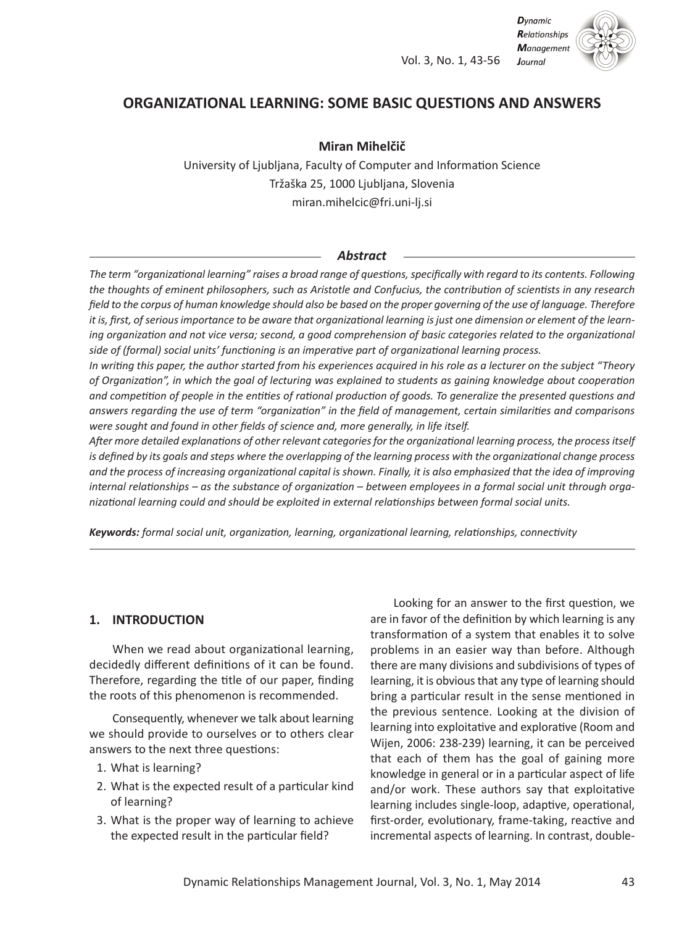Vol. 3, No. 1, 43-56



# **ORGANIZATIONAL LEARNING: SOME BASIC QUESTIONS AND ANSWERS**

### **Miran Mihelčič**

University of Ljubljana, Faculty of Computer and Information Science Tržaška 25, 1000 Ljubljana, Slovenia miran.mihelcic@fri.uni-lj.si

#### *Abstract*

The term "organizational learning" raises a broad range of questions, specifically with regard to its contents. Following the thoughts of eminent philosophers, such as Aristotle and Confucius, the contribution of scientists in any research field to the corpus of human knowledge should also be based on the proper governing of the use of language. Therefore it is, first, of serious importance to be aware that organizational learning is just one dimension or element of the learning organization and not vice versa; second, a good comprehension of basic categories related to the organizational *side of (formal) social units' functioning is an imperative part of organizational learning process.*

In writing this paper, the author started from his experiences acquired in his role as a lecturer on the subject "Theory of Organization", in which the goal of lecturing was explained to students as gaining knowledge about cooperation and competition of people in the entities of rational production of goods. To generalize the presented questions and answers regarding the use of term "organization" in the field of management, certain similarities and comparisons *were sought and found in other fields of science and, more generally, in life itself.*

*After more detailed explanations of other relevant categoriesfor the organizational learning process, the processitself* is defined by its goals and steps where the overlapping of the learning process with the organizational change process and the process of increasing organizational capital is shown. Finally, it is also emphasized that the idea of improving internal relationships - as the substance of organization - between employees in a formal social unit through orga*nizational learning could and should be exploited in external relationships between formal social units.*

*Keywords: formal social unit, organization, learning, organizational learning, relationships, connectivity*

### **1. INTRODUCTION**

When we read about organizational learning, decidedly different definitions of it can be found. Therefore, regarding the title of our paper, finding the roots of this phenomenon is recommended.

Consequently, whenever we talk about learning we should provide to ourselves or to others clear answers to the next three questions:

- 1. What is learning?
- 2. What is the expected result of a particular kind of learning?
- 3. What is the proper way of learning to achieve the expected result in the particular field?

Looking for an answer to the first question, we are in favor of the definition by which learning is any transformation of a system that enables it to solve problems in an easier way than before. Although there are many divisions and subdivisions of types of learning, it is obvious that any type of learning should bring a particular result in the sense mentioned in the previous sentence. Looking at the division of learning into exploitative and explorative (Room and Wijen, 2006: 238-239) learning, it can be perceived that each of them has the goal of gaining more knowledge in general or in a particular aspect of life and/or work. These authors say that exploitative learning includes single-loop, adaptive, operational, first-order, evolutionary, frame-taking, reactive and incremental aspects of learning. In contrast, double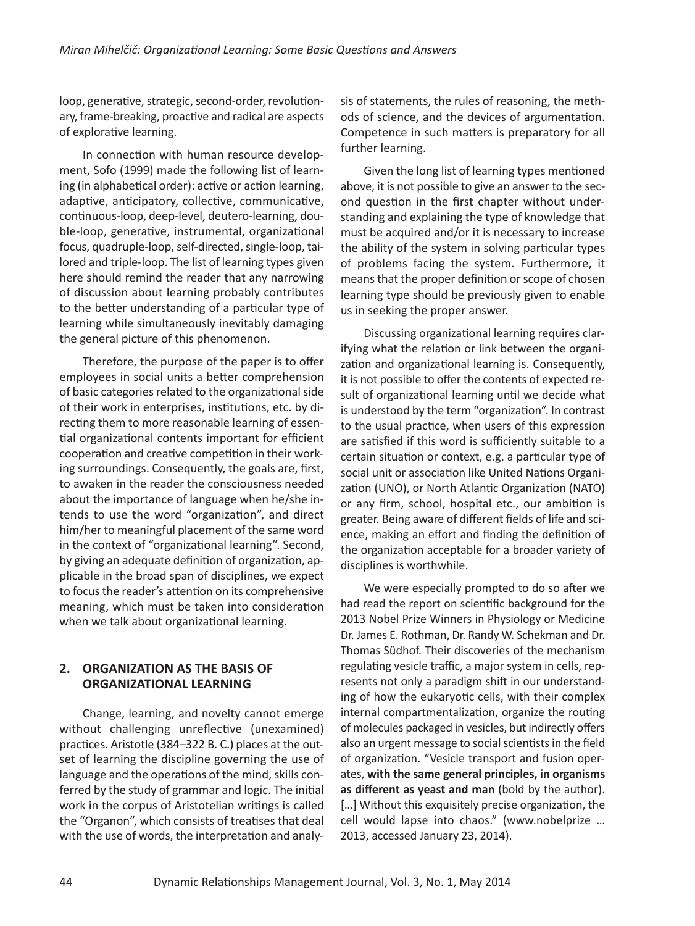loop, generative, strategic, second-order, revolutionary, frame-breaking, proactive and radical are aspects of explorative learning.

In connection with human resource development, Sofo (1999) made the following list of learning (in alphabetical order): active or action learning, adaptive, anticipatory, collective, communicative, continuous-loop, deep-level, deutero-learning, double-loop, generative, instrumental, organizational focus, quadruple-loop, self-directed, single-loop, tailored and triple-loop. The list of learning types given here should remind the reader that any narrowing of discussion about learning probably contributes to the better understanding of a particular type of learning while simultaneously inevitably damaging the general picture of this phenomenon.

Therefore, the purpose of the paper is to offer employees in social units a better comprehension of basic categories related to the organizational side of their work in enterprises, institutions, etc. by directing them to more reasonable learning of essential organizational contents important for efficient cooperation and creative competition in their working surroundings. Consequently, the goals are, first, to awaken in the reader the consciousness needed about the importance of language when he/she intends to use the word "organization", and direct him/her to meaningful placement of the same word in the context of "organizational learning". Second, by giving an adequate definition of organization, applicable in the broad span of disciplines, we expect to focus the reader's attention on its comprehensive meaning, which must be taken into consideration when we talk about organizational learning.

# **2. ORGANIZATION AS THE BASIS OF ORGANIZATIONAL LEARNING**

Change, learning, and novelty cannot emerge without challenging unreflective (unexamined) practices. Aristotle (384–322 B. C.) places at the outset of learning the discipline governing the use of language and the operations of the mind, skills conferred by the study of grammar and logic. The initial work in the corpus of Aristotelian writings is called the "Organon", which consists of treatises that deal with the use of words, the interpretation and analysis of statements, the rules of reasoning, the methods of science, and the devices of argumentation. Competence in such matters is preparatory for all further learning.

Given the long list of learning types mentioned above, it is not possible to give an answer to the second question in the first chapter without understanding and explaining the type of knowledge that must be acquired and/or it is necessary to increase the ability of the system in solving particular types of problems facing the system. Furthermore, it means that the proper definition or scope of chosen learning type should be previously given to enable us in seeking the proper answer.

Discussing organizational learning requires clarifying what the relation or link between the organization and organizational learning is. Consequently, it is not possible to offer the contents of expected result of organizational learning until we decide what is understood by the term "organization". In contrast to the usual practice, when users of this expression are satisfied if this word is sufficiently suitable to a certain situation or context, e.g. a particular type of social unit or association like United Nations Organization (UNO), or North Atlantic Organization (NATO) or any firm, school, hospital etc., our ambition is greater. Being aware of different fields of life and science, making an effort and finding the definition of the organization acceptable for a broader variety of disciplines is worthwhile.

We were especially prompted to do so after we had read the report on scientific background for the 2013 Nobel Prize Winners in Physiology or Medicine Dr. James E. Rothman, Dr. Randy W. Schekman and Dr. Thomas Südhof. Their discoveries of the mechanism regulating vesicle traffic, a major system in cells, represents not only a paradigm shift in our understanding of how the eukaryotic cells, with their complex internal compartmentalization, organize the routing of molecules packaged in vesicles, but indirectly offers also an urgent message to social scientists in the field of organization. "Vesicle transport and fusion operates, **with the same general principles, in organisms as different as yeast and man** (bold by the author). [...] Without this exquisitely precise organization, the cell would lapse into chaos." (www.nobelprize … 2013, accessed January 23, 2014).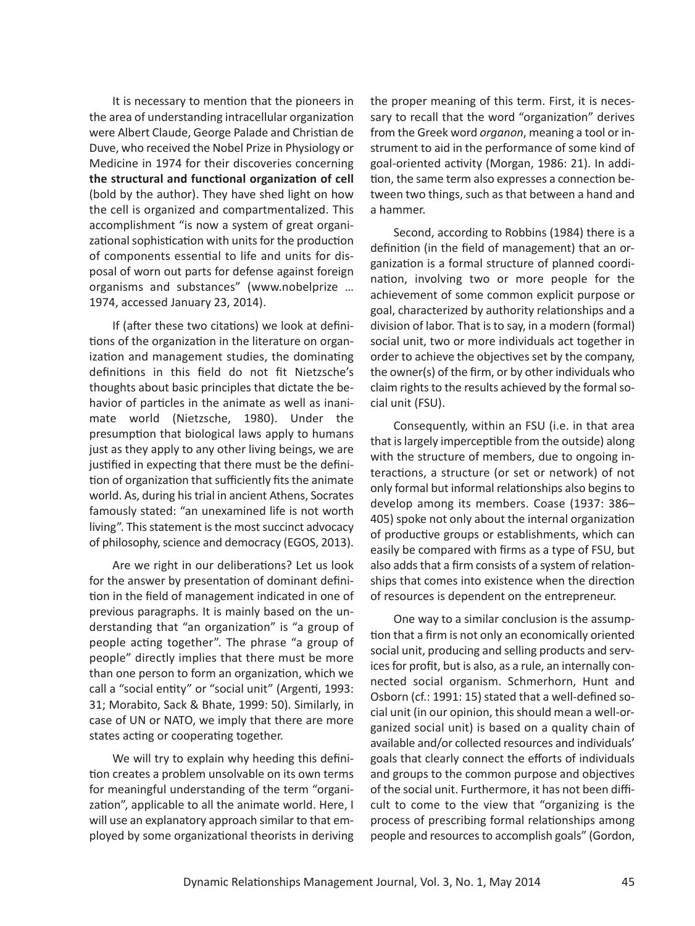It is necessary to mention that the pioneers in the area of understanding intracellular organization were Albert Claude, George Palade and Christian de Duve, who received the Nobel Prize in Physiology or Medicine in 1974 for their discoveries concerning **the structural and functional organization of cell** (bold by the author). They have shed light on how the cell is organized and compartmentalized. This accomplishment "is now a system of great organizational sophistication with units for the production of components essential to life and units for disposal of worn out parts for defense against foreign organisms and substances" (www.nobelprize … 1974, accessed January 23, 2014).

If (after these two citations) we look at definitions of the organization in the literature on organization and management studies, the dominating definitions in this field do not fit Nietzsche's thoughts about basic principles that dictate the behavior of particles in the animate as well as inanimate world (Nietzsche, 1980). Under the presumption that biological laws apply to humans just as they apply to any other living beings, we are justified in expecting that there must be the definition of organization that sufficiently fits the animate world. As, during histrial in ancient Athens, Socrates famously stated: "an unexamined life is not worth living". This statement is the most succinct advocacy of philosophy, science and democracy (EGOS, 2013).

Are we right in our deliberations? Let us look for the answer by presentation of dominant definition in the field of management indicated in one of previous paragraphs. It is mainly based on the understanding that "an organization" is "a group of people acting together". The phrase "a group of people" directly implies that there must be more than one person to form an organization, which we call a "social entity" or "social unit" (Argenti, 1993: 31; Morabito, Sack & Bhate, 1999: 50). Similarly, in case of UN or NATO, we imply that there are more states acting or cooperating together.

We will try to explain why heeding this definition creates a problem unsolvable on its own terms for meaningful understanding of the term "organization", applicable to all the animate world. Here, I will use an explanatory approach similar to that employed by some organizational theorists in deriving

the proper meaning of this term. First, it is necessary to recall that the word "organization" derives from the Greek word *organon*, meaning a tool or instrument to aid in the performance of some kind of goal-oriented activity (Morgan, 1986: 21). In addition, the same term also expresses a connection between two things, such as that between a hand and a hammer.

Second, according to Robbins (1984) there is a definition (in the field of management) that an organization is a formal structure of planned coordination, involving two or more people for the achievement of some common explicit purpose or goal, characterized by authority relationships and a division of labor. That isto say, in a modern (formal) social unit, two or more individuals act together in order to achieve the objectives set by the company, the owner(s) of the firm, or by other individuals who claim rights to the results achieved by the formal social unit (FSU).

Consequently, within an FSU (i.e. in that area that islargely imperceptible from the outside) along with the structure of members, due to ongoing interactions, a structure (or set or network) of not only formal but informal relationships also beginsto develop among its members. Coase (1937: 386– 405) spoke not only about the internal organization of productive groups or establishments, which can easily be compared with firms as a type of FSU, but also adds that a firm consists of a system of relationships that comes into existence when the direction of resources is dependent on the entrepreneur.

One way to a similar conclusion is the assumption that a firm is not only an economically oriented social unit, producing and selling products and services for profit, but is also, as a rule, an internally connected social organism. Schmerhorn, Hunt and Osborn (cf.: 1991: 15) stated that a well-defined social unit (in our opinion, this should mean a well-organized social unit) is based on a quality chain of available and/or collected resources and individuals' goals that clearly connect the efforts of individuals and groups to the common purpose and objectives of the social unit. Furthermore, it has not been difficult to come to the view that "organizing is the process of prescribing formal relationships among people and resources to accomplish goals" (Gordon,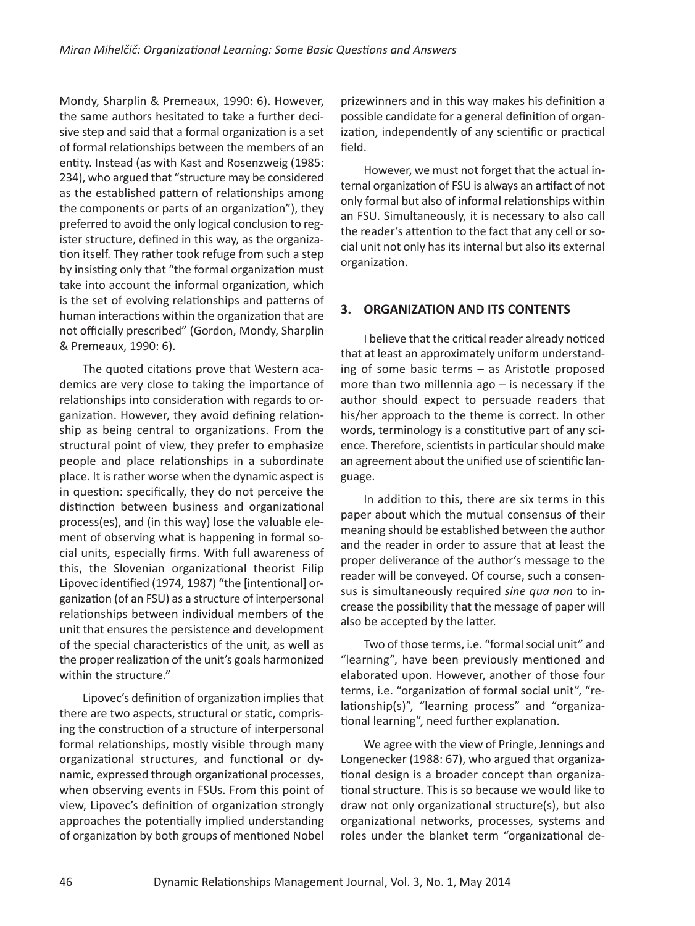Mondy, Sharplin & Premeaux, 1990: 6). However, the same authors hesitated to take a further decisive step and said that a formal organization is a set of formal relationships between the members of an entity. Instead (as with Kast and Rosenzweig (1985: 234), who argued that "structure may be considered as the established pattern of relationships among the components or parts of an organization"), they preferred to avoid the only logical conclusion to register structure, defined in this way, as the organization itself. They rather took refuge from such a step by insisting only that "the formal organization must take into account the informal organization, which is the set of evolving relationships and patterns of human interactions within the organization that are not officially prescribed" (Gordon, Mondy, Sharplin & Premeaux, 1990: 6).

The quoted citations prove that Western academics are very close to taking the importance of relationships into consideration with regards to organization. However, they avoid defining relationship as being central to organizations. From the structural point of view, they prefer to emphasize people and place relationships in a subordinate place. It is rather worse when the dynamic aspect is in question: specifically, they do not perceive the distinction between business and organizational process(es), and (in this way) lose the valuable element of observing what is happening in formal social units, especially firms. With full awareness of this, the Slovenian organizational theorist Filip Lipovec identified (1974, 1987) "the [intentional] organization (of an FSU) as a structure of interpersonal relationships between individual members of the unit that ensures the persistence and development of the special characteristics of the unit, as well as the proper realization of the unit's goals harmonized within the structure."

Lipovec's definition of organization implies that there are two aspects, structural or static, comprising the construction of a structure of interpersonal formal relationships, mostly visible through many organizational structures, and functional or dynamic, expressed through organizational processes, when observing events in FSUs. From this point of view, Lipovec's definition of organization strongly approaches the potentially implied understanding of organization by both groups of mentioned Nobel prizewinners and in this way makes his definition a possible candidate for a general definition of organization, independently of any scientific or practical field.

However, we must not forget that the actual internal organization of FSU is always an artifact of not only formal but also of informal relationships within an FSU. Simultaneously, it is necessary to also call the reader's attention to the fact that any cell or social unit not only has its internal but also its external organization.

# **3. ORGANIZATION AND ITS CONTENTS**

I believe that the critical reader already noticed that at least an approximately uniform understanding of some basic terms – as Aristotle proposed more than two millennia ago  $-$  is necessary if the author should expect to persuade readers that his/her approach to the theme is correct. In other words, terminology is a constitutive part of any science. Therefore, scientists in particular should make an agreement about the unified use of scientific language.

In addition to this, there are six terms in this paper about which the mutual consensus of their meaning should be established between the author and the reader in order to assure that at least the proper deliverance of the author's message to the reader will be conveyed. Of course, such a consensus is simultaneously required *sine qua non* to increase the possibility that the message of paper will also be accepted by the latter.

Two of those terms, i.e. "formal social unit" and "learning", have been previously mentioned and elaborated upon. However, another of those four terms, i.e. "organization of formal social unit", "relationship(s)", "learning process" and "organizational learning", need further explanation.

We agree with the view of Pringle, Jennings and Longenecker (1988: 67), who argued that organizational design is a broader concept than organizational structure. This is so because we would like to draw not only organizational structure(s), but also organizational networks, processes, systems and roles under the blanket term "organizational de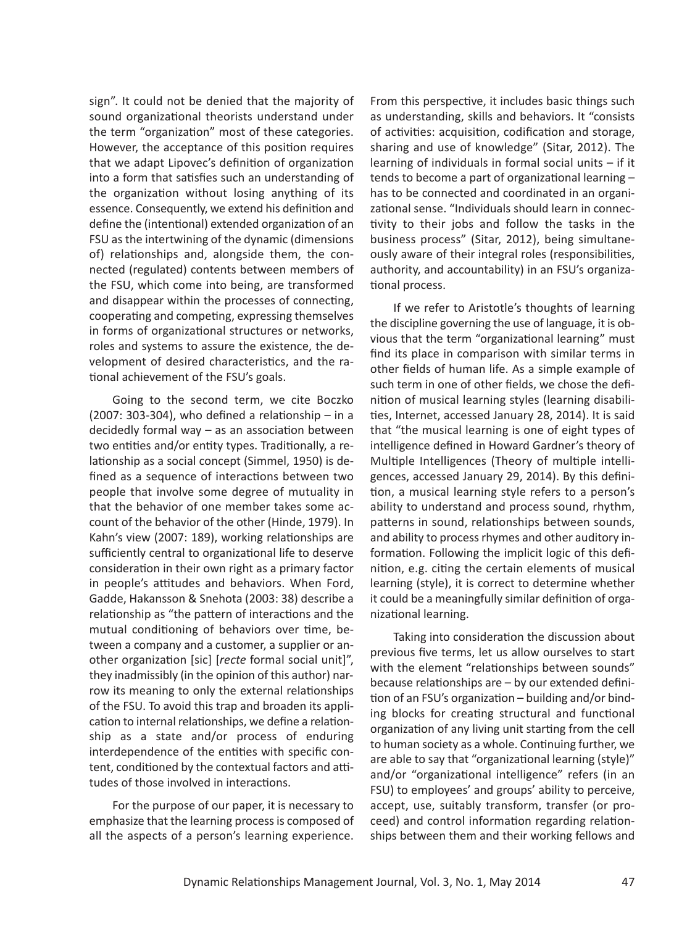sign". It could not be denied that the majority of sound organizational theorists understand under the term "organization" most of these categories. However, the acceptance of this position requires that we adapt Lipovec's definition of organization into a form that satisfies such an understanding of the organization without losing anything of its essence. Consequently, we extend his definition and define the (intentional) extended organization of an FSU asthe intertwining of the dynamic (dimensions of) relationships and, alongside them, the connected (regulated) contents between members of the FSU, which come into being, are transformed and disappear within the processes of connecting, cooperating and competing, expressing themselves in forms of organizational structures or networks, roles and systems to assure the existence, the development of desired characteristics, and the rational achievement of the FSU's goals.

Going to the second term, we cite Boczko (2007: 303-304), who defined a relationship  $-$  in a decidedly formal way – as an association between two entities and/or entity types. Traditionally, a relationship as a social concept (Simmel, 1950) is defined as a sequence of interactions between two people that involve some degree of mutuality in that the behavior of one member takes some account of the behavior of the other (Hinde, 1979). In Kahn's view (2007: 189), working relationships are sufficiently central to organizational life to deserve consideration in their own right as a primary factor in people's attitudes and behaviors. When Ford, Gadde, Hakansson & Snehota (2003: 38) describe a relationship as "the pattern of interactions and the mutual conditioning of behaviors over time, between a company and a customer, a supplier or another organization [sic] [*recte* formal social unit]", they inadmissibly (in the opinion of this author) narrow its meaning to only the external relationships of the FSU. To avoid this trap and broaden its application to internal relationships, we define a relationship as a state and/or process of enduring interdependence of the entities with specific content, conditioned by the contextual factors and attitudes of those involved in interactions.

For the purpose of our paper, it is necessary to emphasize that the learning process is composed of all the aspects of a person's learning experience.

From this perspective, it includes basic things such as understanding, skills and behaviors. It "consists of activities: acquisition, codification and storage, sharing and use of knowledge" (Sitar, 2012). The learning of individuals in formal social units – if it tends to become a part of organizational learning – has to be connected and coordinated in an organizational sense. "Individuals should learn in connectivity to their jobs and follow the tasks in the business process" (Sitar, 2012), being simultaneously aware of their integral roles (responsibilities, authority, and accountability) in an FSU's organizational process.

If we refer to Aristotle's thoughts of learning the discipline governing the use of language, it is obvious that the term "organizational learning" must find its place in comparison with similar terms in other fields of human life. As a simple example of such term in one of other fields, we chose the definition of musical learning styles (learning disabilities, Internet, accessed January 28, 2014). It is said that "the musical learning is one of eight types of intelligence defined in Howard Gardner's theory of Multiple Intelligences (Theory of multiple intelligences, accessed January 29, 2014). By this definition, a musical learning style refers to a person's ability to understand and process sound, rhythm, patterns in sound, relationships between sounds, and ability to process rhymes and other auditory information. Following the implicit logic of this definition, e.g. citing the certain elements of musical learning (style), it is correct to determine whether it could be a meaningfully similar definition of organizational learning.

Taking into consideration the discussion about previous five terms, let us allow ourselves to start with the element "relationships between sounds" because relationships are – by our extended definition of an FSU's organization – building and/or binding blocks for creating structural and functional organization of any living unit starting from the cell to human society as a whole. Continuing further, we are able to say that "organizational learning (style)" and/or "organizational intelligence" refers (in an FSU) to employees' and groups' ability to perceive, accept, use, suitably transform, transfer (or proceed) and control information regarding relationships between them and their working fellows and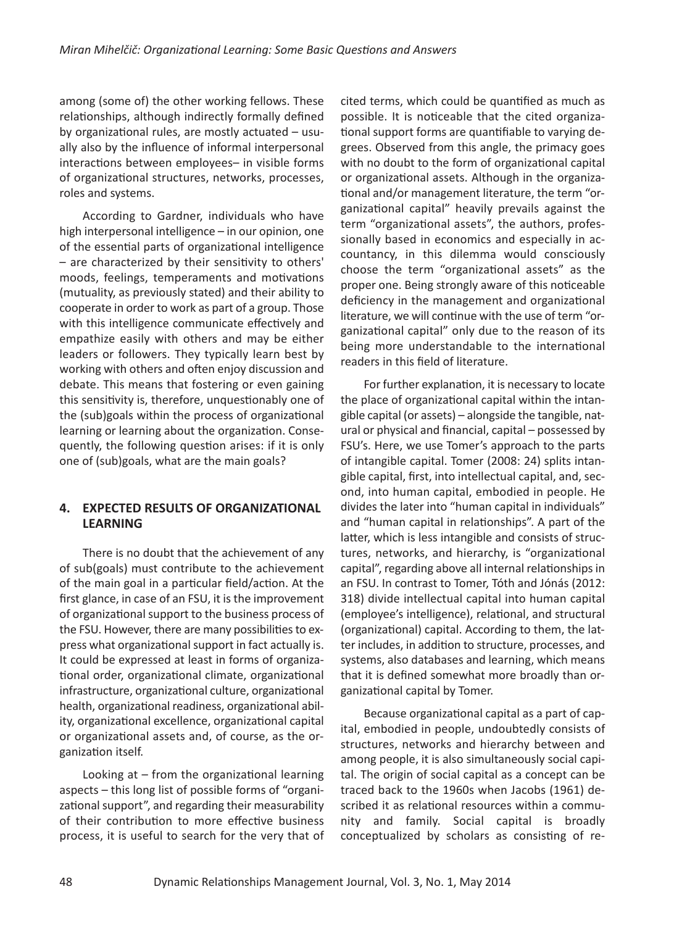among (some of) the other working fellows. These relationships, although indirectly formally defined by organizational rules, are mostly actuated – usually also by the influence of informal interpersonal interactions between employees– in visible forms of organizational structures, networks, processes, roles and systems.

According to Gardner, individuals who have high interpersonal intelligence – in our opinion, one of the essential parts of organizational intelligence – are characterized by their sensitivity to others' moods, feelings, temperaments and motivations (mutuality, as previously stated) and their ability to cooperate in order to work as part of a group. Those with this intelligence communicate effectively and empathize easily with others and may be either leaders or followers. They typically learn best by working with others and often enjoy discussion and debate. This means that fostering or even gaining this sensitivity is, therefore, unquestionably one of the (sub)goals within the process of organizational learning or learning about the organization. Consequently, the following question arises: if it is only one of (sub)goals, what are the main goals?

### **4. EXPECTED RESULTS OF ORGANIZATIONAL LEARNING**

There is no doubt that the achievement of any of sub(goals) must contribute to the achievement of the main goal in a particular field/action. At the first glance, in case of an FSU, it is the improvement of organizational support to the business process of the FSU. However, there are many possibilities to express what organizational support in fact actually is. It could be expressed at least in forms of organizational order, organizational climate, organizational infrastructure, organizational culture, organizational health, organizational readiness, organizational ability, organizational excellence, organizational capital or organizational assets and, of course, as the organization itself.

Looking at – from the organizational learning aspects – this long list of possible forms of "organizational support", and regarding their measurability of their contribution to more effective business process, it is useful to search for the very that of cited terms, which could be quantified as much as possible. It is noticeable that the cited organizational support forms are quantifiable to varying degrees. Observed from this angle, the primacy goes with no doubt to the form of organizational capital or organizational assets. Although in the organizational and/or management literature, the term "organizational capital" heavily prevails against the term "organizational assets", the authors, professionally based in economics and especially in accountancy, in this dilemma would consciously choose the term "organizational assets" as the proper one. Being strongly aware of this noticeable deficiency in the management and organizational literature, we will continue with the use of term "organizational capital" only due to the reason of its being more understandable to the international readers in this field of literature.

For further explanation, it is necessary to locate the place of organizational capital within the intangible capital (or assets) – alongside the tangible, natural or physical and financial, capital – possessed by FSU's. Here, we use Tomer's approach to the parts of intangible capital. Tomer (2008: 24) splits intangible capital, first, into intellectual capital, and, second, into human capital, embodied in people. He divides the later into "human capital in individuals" and "human capital in relationships". A part of the latter, which is less intangible and consists of structures, networks, and hierarchy, is "organizational capital", regarding above all internal relationships in an FSU. In contrast to Tomer, Tóth and Jónás (2012: 318) divide intellectual capital into human capital (employee's intelligence), relational, and structural (organizational) capital. According to them, the latter includes, in addition to structure, processes, and systems, also databases and learning, which means that it is defined somewhat more broadly than organizational capital by Tomer.

Because organizational capital as a part of capital, embodied in people, undoubtedly consists of structures, networks and hierarchy between and among people, it is also simultaneously social capital. The origin of social capital as a concept can be traced back to the 1960s when Jacobs (1961) described it as relational resources within a community and family. Social capital is broadly conceptualized by scholars as consisting of re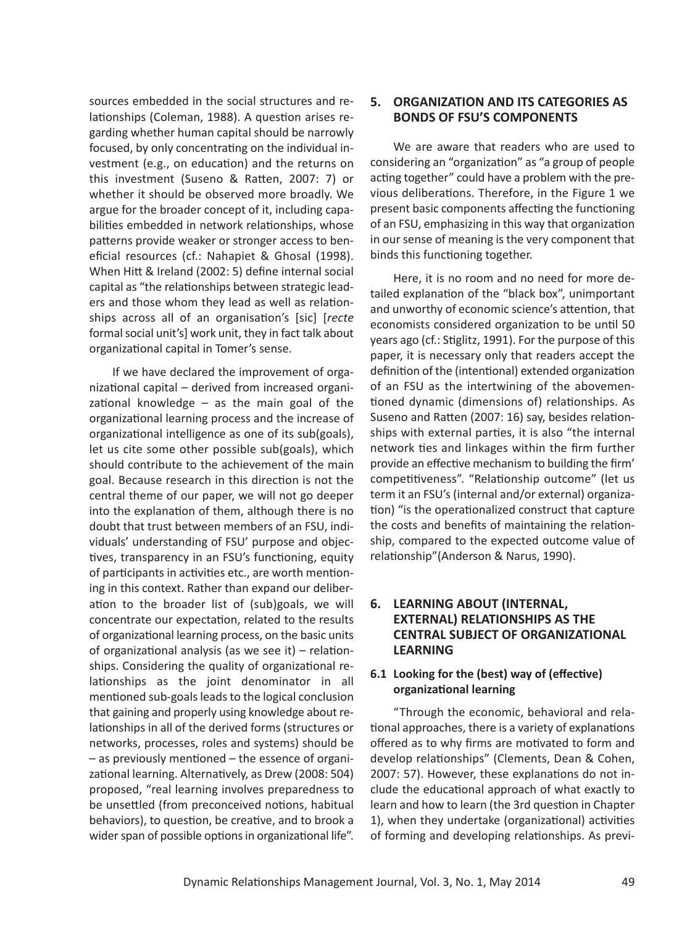sources embedded in the social structures and relationships (Coleman, 1988). A question arises regarding whether human capital should be narrowly focused, by only concentrating on the individual investment (e.g., on education) and the returns on this investment (Suseno & Ratten, 2007: 7) or whether it should be observed more broadly. We argue for the broader concept of it, including capabilities embedded in network relationships, whose patterns provide weaker or stronger access to beneficial resources (cf.: Nahapiet & Ghosal (1998). When Hitt & Ireland (2002: 5) define internal social capital as "the relationships between strategic leaders and those whom they lead as well as relationships across all of an organisation's [sic] [*recte* formal social unit's] work unit, they in fact talk about organizational capital in Tomer's sense.

If we have declared the improvement of organizational capital – derived from increased organizational knowledge  $-$  as the main goal of the organizational learning process and the increase of organizational intelligence as one of its sub(goals), let us cite some other possible sub(goals), which should contribute to the achievement of the main goal. Because research in this direction is not the central theme of our paper, we will not go deeper into the explanation of them, although there is no doubt that trust between members of an FSU, individuals' understanding of FSU' purpose and objectives, transparency in an FSU's functioning, equity of participants in activities etc., are worth mentioning in this context. Rather than expand our deliberation to the broader list of (sub)goals, we will concentrate our expectation, related to the results of organizational learning process, on the basic units of organizational analysis (as we see it) – relationships. Considering the quality of organizational relationships as the joint denominator in all mentioned sub-goals leads to the logical conclusion that gaining and properly using knowledge about relationships in all of the derived forms (structures or networks, processes, roles and systems) should be – as previously mentioned – the essence of organizational learning. Alternatively, as Drew (2008: 504) proposed, "real learning involves preparedness to be unsettled (from preconceived notions, habitual behaviors), to question, be creative, and to brook a wider span of possible options in organizational life".

### **5. ORGANIZATION AND ITS CATEGORIES AS BONDS OF FSU'S COMPONENTS**

We are aware that readers who are used to considering an "organization" as "a group of people acting together" could have a problem with the previous deliberations. Therefore, in the Figure 1 we present basic components affecting the functioning of an FSU, emphasizing in this way that organization in our sense of meaning is the very component that binds this functioning together.

Here, it is no room and no need for more detailed explanation of the "black box", unimportant and unworthy of economic science's attention, that economists considered organization to be until 50 years ago (cf.: Stiglitz, 1991). For the purpose of this paper, it is necessary only that readers accept the definition of the (intentional) extended organization of an FSU as the intertwining of the abovementioned dynamic (dimensions of) relationships. As Suseno and Ratten (2007: 16) say, besides relationships with external parties, it is also "the internal network ties and linkages within the firm further provide an effective mechanism to building the firm' competitiveness". "Relationship outcome" (let us term it an FSU's (internal and/or external) organization) "is the operationalized construct that capture the costs and benefits of maintaining the relationship, compared to the expected outcome value of relationship"(Anderson & Narus, 1990).

# **6. LEARNING ABOUT (INTERNAL, EXTERNAL) RELATIONSHIPS AS THE CENTRAL SUBJECT OF ORGANIZATIONAL LEARNING**

# **6.1 Looking for the (best) way of (effective) organizational learning**

"Through the economic, behavioral and relational approaches, there is a variety of explanations offered as to why firms are motivated to form and develop relationships" (Clements, Dean & Cohen, 2007: 57). However, these explanations do not include the educational approach of what exactly to learn and how to learn (the 3rd question in Chapter 1), when they undertake (organizational) activities of forming and developing relationships. As previ-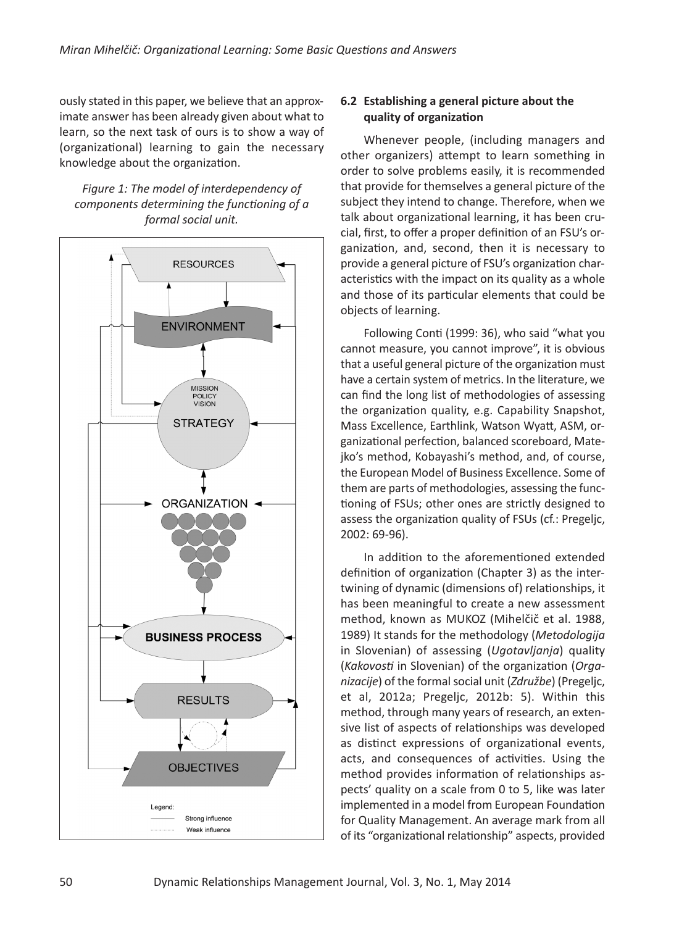ously stated in this paper, we believe that an approximate answer has been already given about what to learn, so the next task of ours is to show a way of (organizational) learning to gain the necessary knowledge about the organization.

*Figure 1: The model of interdependency of components determining the functioning of a formal social unit.*



# **6.2 Establishing a general picture about the quality of organization**

Whenever people, (including managers and other organizers) attempt to learn something in order to solve problems easily, it is recommended that provide for themselves a general picture of the subject they intend to change. Therefore, when we talk about organizational learning, it has been crucial, first, to offer a proper definition of an FSU's organization, and, second, then it is necessary to provide a general picture of FSU's organization characteristics with the impact on its quality as a whole and those of its particular elements that could be objects of learning.

Following Conti (1999: 36), who said "what you cannot measure, you cannot improve", it is obvious that a useful general picture of the organization must have a certain system of metrics. In the literature, we can find the long list of methodologies of assessing the organization quality, e.g. Capability Snapshot, Mass Excellence, Earthlink, Watson Wyatt, ASM, organizational perfection, balanced scoreboard, Matejko's method, Kobayashi's method, and, of course, the European Model of Business Excellence. Some of them are parts of methodologies, assessing the functioning of FSUs; other ones are strictly designed to assess the organization quality of FSUs (cf.: Pregeljc, 2002: 69-96).

In addition to the aforementioned extended definition of organization (Chapter 3) as the intertwining of dynamic (dimensions of) relationships, it has been meaningful to create a new assessment method, known as MUKOZ (Mihelčič et al. 1988, 1989) It stands for the methodology (*Metodologija* in Slovenian) of assessing (*Ugotavljanja*) quality (*Kakovosti* in Slovenian) of the organization (*Organizacije*) of the formalsocial unit (*Združbe*) (Pregeljc, et al, 2012a; Pregeljc, 2012b: 5). Within this method, through many years of research, an extensive list of aspects of relationships was developed as distinct expressions of organizational events, acts, and consequences of activities. Using the method provides information of relationships aspects' quality on a scale from 0 to 5, like was later implemented in a model from European Foundation for Quality Management. An average mark from all of its "organizational relationship" aspects, provided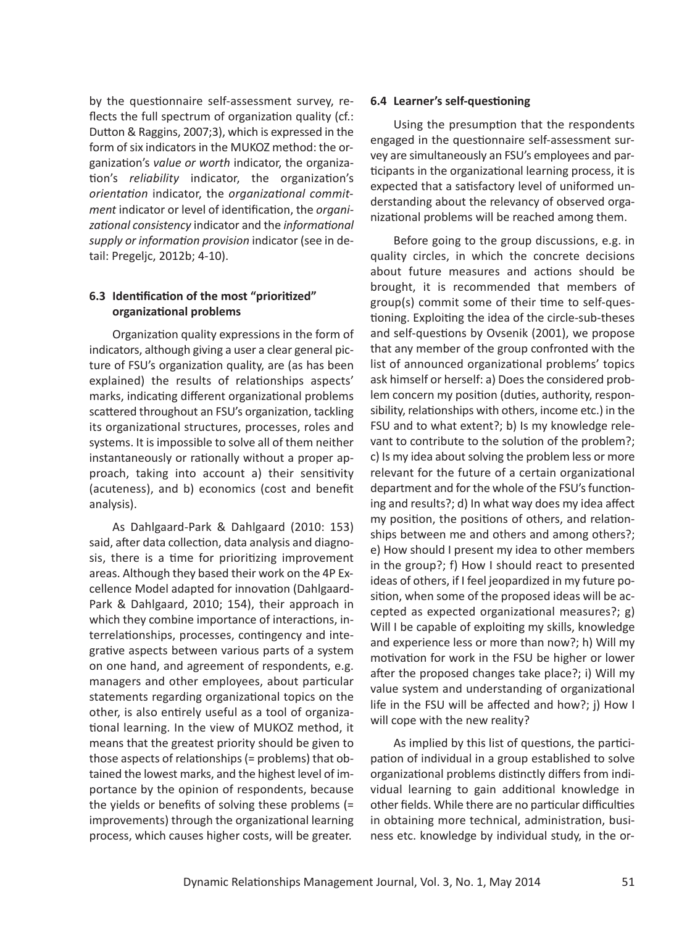by the questionnaire self-assessment survey, reflects the full spectrum of organization quality (cf.: Dutton & Raggins, 2007;3), which is expressed in the form of six indicators in the MUKOZ method: the organization's *value or worth* indicator, the organization's *reliability* indicator, the organization's *orientation* indicator, the *organizational commitment* indicator or level of identification, the *organizational consistency* indicator and the *informational supply or information provision* indicator (see in detail: Pregeljc, 2012b; 4-10).

### **6.3 Identification of the most "prioritized" organizational problems**

Organization quality expressions in the form of indicators, although giving a user a clear general picture of FSU's organization quality, are (as has been explained) the results of relationships aspects' marks, indicating different organizational problems scattered throughout an FSU's organization, tackling its organizational structures, processes, roles and systems. It is impossible to solve all of them neither instantaneously or rationally without a proper approach, taking into account a) their sensitivity (acuteness), and b) economics (cost and benefit analysis).

As Dahlgaard-Park & Dahlgaard (2010: 153) said, after data collection, data analysis and diagnosis, there is a time for prioritizing improvement areas. Although they based their work on the 4P Excellence Model adapted for innovation (Dahlgaard-Park & Dahlgaard, 2010; 154), their approach in which they combine importance of interactions, interrelationships, processes, contingency and integrative aspects between various parts of a system on one hand, and agreement of respondents, e.g. managers and other employees, about particular statements regarding organizational topics on the other, is also entirely useful as a tool of organizational learning. In the view of MUKOZ method, it means that the greatest priority should be given to those aspects of relationships(= problems) that obtained the lowest marks, and the highest level of importance by the opinion of respondents, because the yields or benefits of solving these problems (= improvements) through the organizational learning process, which causes higher costs, will be greater.

#### **6.4 Learner's self-questioning**

Using the presumption that the respondents engaged in the questionnaire self-assessment survey are simultaneously an FSU's employees and participants in the organizational learning process, it is expected that a satisfactory level of uniformed understanding about the relevancy of observed organizational problems will be reached among them.

Before going to the group discussions, e.g. in quality circles, in which the concrete decisions about future measures and actions should be brought, it is recommended that members of group(s) commit some of their time to self-questioning. Exploiting the idea of the circle-sub-theses and self-questions by Ovsenik (2001), we propose that any member of the group confronted with the list of announced organizational problems' topics ask himself or herself: a) Does the considered problem concern my position (duties, authority, responsibility, relationships with others, income etc.) in the FSU and to what extent?; b) Is my knowledge relevant to contribute to the solution of the problem?; c) Is my idea about solving the problem less or more relevant for the future of a certain organizational department and for the whole of the FSU's functioning and results?; d) In what way does my idea affect my position, the positions of others, and relationships between me and others and among others?; e) How should I present my idea to other members in the group?; f) How I should react to presented ideas of others, if I feel jeopardized in my future position, when some of the proposed ideas will be accepted as expected organizational measures?; g) Will I be capable of exploiting my skills, knowledge and experience less or more than now?; h) Will my motivation for work in the FSU be higher or lower after the proposed changes take place?; i) Will my value system and understanding of organizational life in the FSU will be affected and how?; j) How I will cope with the new reality?

As implied by this list of questions, the participation of individual in a group established to solve organizational problems distinctly differs from individual learning to gain additional knowledge in other fields. While there are no particular difficulties in obtaining more technical, administration, business etc. knowledge by individual study, in the or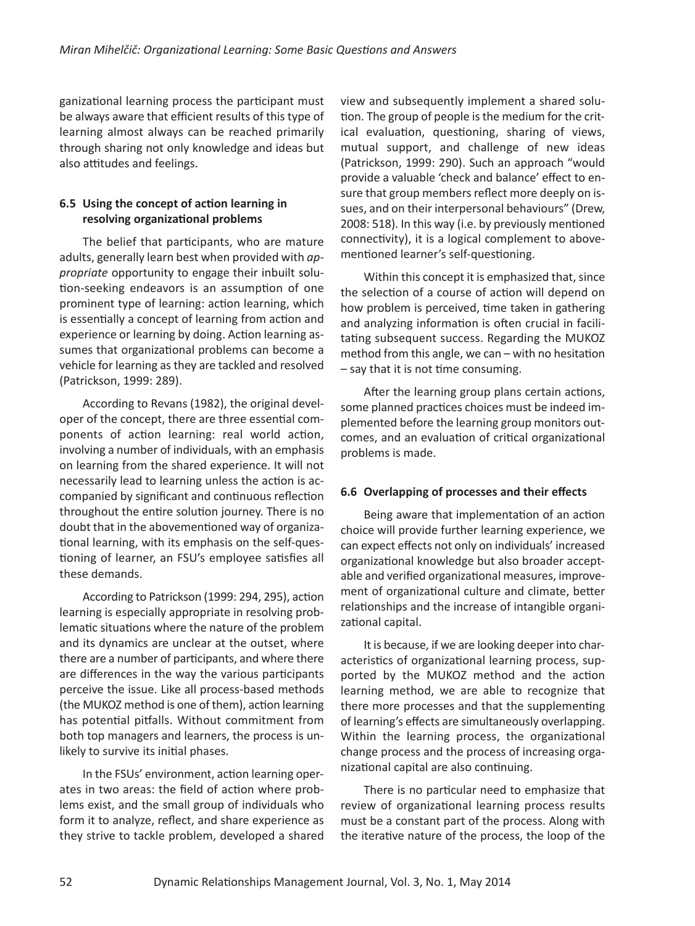ganizational learning process the participant must be always aware that efficient results of this type of learning almost always can be reached primarily through sharing not only knowledge and ideas but also attitudes and feelings.

# **6.5 Using the concept of action learning in resolving organizational problems**

The belief that participants, who are mature adults, generally learn best when provided with *appropriate* opportunity to engage their inbuilt solution-seeking endeavors is an assumption of one prominent type of learning: action learning, which is essentially a concept of learning from action and experience or learning by doing. Action learning assumes that organizational problems can become a vehicle for learning asthey are tackled and resolved (Patrickson, 1999: 289).

According to Revans (1982), the original developer of the concept, there are three essential components of action learning: real world action, involving a number of individuals, with an emphasis on learning from the shared experience. It will not necessarily lead to learning unless the action is accompanied by significant and continuous reflection throughout the entire solution journey. There is no doubt that in the abovementioned way of organizational learning, with its emphasis on the self-questioning of learner, an FSU's employee satisfies all these demands.

According to Patrickson (1999: 294, 295), action learning is especially appropriate in resolving problematic situations where the nature of the problem and its dynamics are unclear at the outset, where there are a number of participants, and where there are differences in the way the various participants perceive the issue. Like all process-based methods (the MUKOZ method is one of them), action learning has potential pitfalls. Without commitment from both top managers and learners, the process is unlikely to survive its initial phases.

In the FSUs' environment, action learning operates in two areas: the field of action where problems exist, and the small group of individuals who form it to analyze, reflect, and share experience as they strive to tackle problem, developed a shared view and subsequently implement a shared solution. The group of people is the medium for the critical evaluation, questioning, sharing of views, mutual support, and challenge of new ideas (Patrickson, 1999: 290). Such an approach "would provide a valuable 'check and balance' effect to ensure that group members reflect more deeply on issues, and on their interpersonal behaviours" (Drew, 2008: 518). In this way (i.e. by previously mentioned connectivity), it is a logical complement to abovementioned learner's self-questioning.

Within this concept it is emphasized that, since the selection of a course of action will depend on how problem is perceived, time taken in gathering and analyzing information is often crucial in facilitating subsequent success. Regarding the MUKOZ method from this angle, we can – with no hesitation – say that it is not time consuming.

After the learning group plans certain actions, some planned practices choices must be indeed implemented before the learning group monitors outcomes, and an evaluation of critical organizational problems is made.

### **6.6 Overlapping of processes and their effects**

Being aware that implementation of an action choice will provide further learning experience, we can expect effects not only on individuals' increased organizational knowledge but also broader acceptable and verified organizational measures, improvement of organizational culture and climate, better relationships and the increase of intangible organizational capital.

It is because, if we are looking deeper into characteristics of organizational learning process, supported by the MUKOZ method and the action learning method, we are able to recognize that there more processes and that the supplementing of learning's effects are simultaneously overlapping. Within the learning process, the organizational change process and the process of increasing organizational capital are also continuing.

There is no particular need to emphasize that review of organizational learning process results must be a constant part of the process. Along with the iterative nature of the process, the loop of the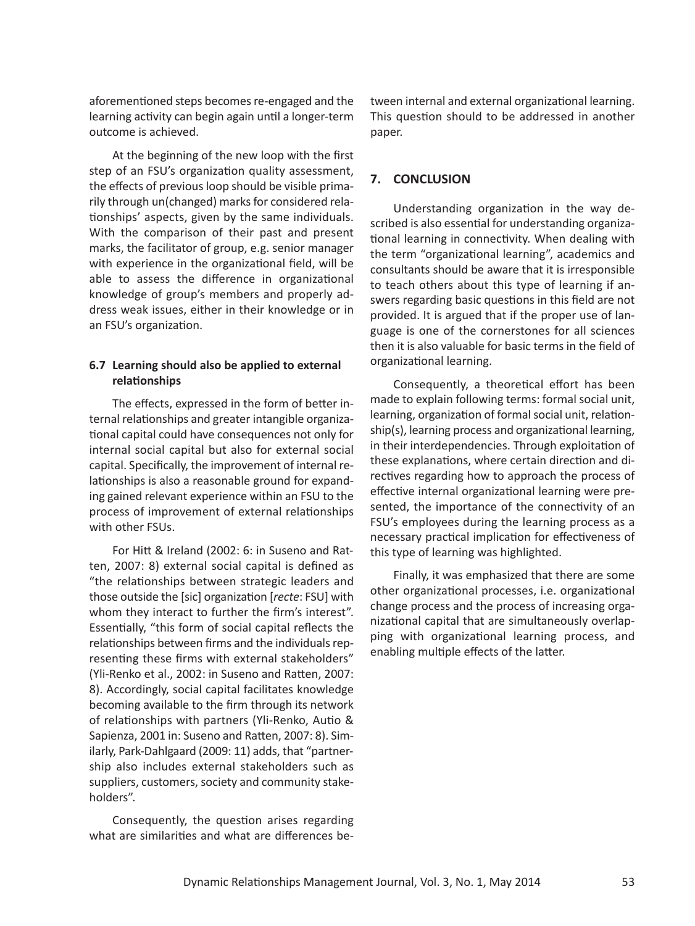aforementioned steps becomes re-engaged and the learning activity can begin again until a longer-term outcome is achieved.

At the beginning of the new loop with the first step of an FSU's organization quality assessment, the effects of previous loop should be visible primarily through un(changed) marks for considered relationships' aspects, given by the same individuals. With the comparison of their past and present marks, the facilitator of group, e.g. senior manager with experience in the organizational field, will be able to assess the difference in organizational knowledge of group's members and properly address weak issues, either in their knowledge or in an FSU's organization.

### **6.7 Learning should also be applied to external relationships**

The effects, expressed in the form of better internal relationships and greater intangible organizational capital could have consequences not only for internal social capital but also for external social capital. Specifically, the improvement of internal relationships is also a reasonable ground for expanding gained relevant experience within an FSU to the process of improvement of external relationships with other FSUs.

For Hitt & Ireland (2002: 6: in Suseno and Ratten, 2007: 8) external social capital is defined as "the relationships between strategic leaders and those outside the [sic] organization [*recte*: FSU] with whom they interact to further the firm's interest". Essentially, "this form of social capital reflects the relationships between firms and the individuals representing these firms with external stakeholders" (Yli-Renko et al., 2002: in Suseno and Ratten, 2007: 8). Accordingly, social capital facilitates knowledge becoming available to the firm through its network of relationships with partners (Yli-Renko, Autio & Sapienza, 2001 in: Suseno and Ratten, 2007: 8). Similarly, Park-Dahlgaard (2009: 11) adds, that "partnership also includes external stakeholders such as suppliers, customers, society and community stakeholders".

Consequently, the question arises regarding what are similarities and what are differences between internal and external organizational learning. This question should to be addressed in another paper.

# **7. CONCLUSION**

Understanding organization in the way described is also essential for understanding organizational learning in connectivity. When dealing with the term "organizational learning", academics and consultants should be aware that it is irresponsible to teach others about this type of learning if answers regarding basic questions in this field are not provided. It is argued that if the proper use of language is one of the cornerstones for all sciences then it is also valuable for basic terms in the field of organizational learning.

Consequently, a theoretical effort has been made to explain following terms: formal social unit, learning, organization of formal social unit, relationship(s), learning process and organizational learning, in their interdependencies. Through exploitation of these explanations, where certain direction and directives regarding how to approach the process of effective internal organizational learning were presented, the importance of the connectivity of an FSU's employees during the learning process as a necessary practical implication for effectiveness of this type of learning was highlighted.

Finally, it was emphasized that there are some other organizational processes, i.e. organizational change process and the process of increasing organizational capital that are simultaneously overlapping with organizational learning process, and enabling multiple effects of the latter.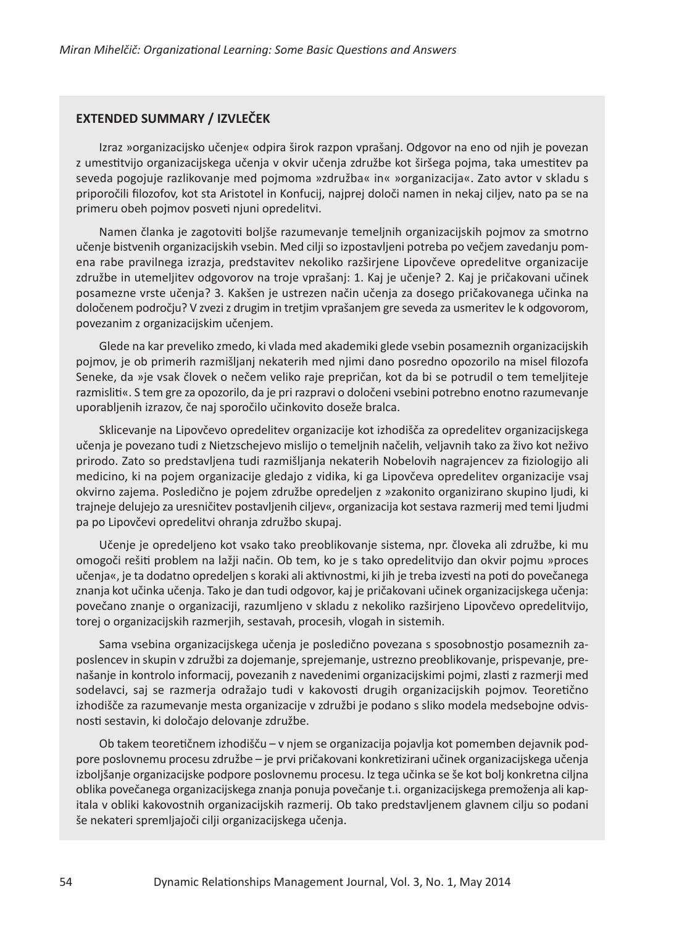#### **EXTENDED SUMMARY / IZVLEČEK**

Izraz »organizacijsko učenje« odpira širok razpon vprašanj. Odgovor na eno od njih je povezan z umestitvijo organizacijskega učenja v okvir učenja združbe kot širšega pojma, taka umestitev pa seveda pogojuje razlikovanje med pojmoma »združba« in« »organizacija«. Zato avtor v skladu s priporočili filozofov, kot sta Aristotel in Konfucij, najprej določi namen in nekaj ciljev, nato pa se na primeru obeh pojmov posveti njuni opredelitvi.

Namen članka je zagotoviti boljše razumevanje temeljnih organizacijskih pojmov za smotrno učenje bistvenih organizacijskih vsebin. Med cilji so izpostavljeni potreba po večjem zavedanju pomena rabe pravilnega izrazja, predstavitev nekoliko razširjene Lipovčeve opredelitve organizacije združbe in utemeljitev odgovorov na troje vprašanj: 1. Kaj je učenje? 2. Kaj je pričakovani učinek posamezne vrste učenja? 3. Kakšen je ustrezen način učenja za dosego pričakovanega učinka na določenem področju? V zveziz drugim in tretjim vprašanjem gre seveda za usmeritev le k odgovorom, povezanim z organizacijskim učenjem.

Glede na kar preveliko zmedo, ki vlada med akademiki glede vsebin posameznih organizacijskih pojmov, je ob primerih razmišljanj nekaterih med njimi dano posredno opozorilo na misel filozofa Seneke, da »je vsak človek o nečem veliko raje prepričan, kot da bi se potrudil o tem temeljiteje razmisliti«. S tem gre za opozorilo, da je pri razpravi o določeni vsebini potrebno enotno razumevanje uporabljenih izrazov, če naj sporočilo učinkovito doseže bralca.

Sklicevanje na Lipovčevo opredelitev organizacije kot izhodišča za opredelitev organizacijskega učenja je povezano tudi z Nietzschejevo mislijo o temeljnih načelih, veljavnih tako za živo kot neživo prirodo. Zato so predstavljena tudi razmišljanja nekaterih Nobelovih nagrajencev za fiziologijo ali medicino, ki na pojem organizacije gledajo z vidika, ki ga Lipovčeva opredelitev organizacije vsaj okvirno zajema. Posledično je pojem združbe opredeljen z »zakonito organizirano skupino ljudi, ki trajneje delujejo za uresničitev postavljenih ciljev«, organizacija kotsestava razmerij med temi ljudmi pa po Lipovčevi opredelitvi ohranja združbo skupaj.

Učenje je opredeljeno kot vsako tako preoblikovanje sistema, npr. človeka ali združbe, ki mu omogoči rešiti problem na lažji način. Ob tem, ko je s tako opredelitvijo dan okvir pojmu »proces učenja«, je ta dodatno opredeljen s koraki ali aktivnostmi, ki jih je treba izvesti na poti do povečanega znanja kot učinka učenja. Tako je dan tudi odgovor, kaj je pričakovani učinek organizacijskega učenja: povečano znanje o organizaciji, razumljeno v skladu z nekoliko razširjeno Lipovčevo opredelitvijo, torej o organizacijskih razmerjih, sestavah, procesih, vlogah in sistemih.

Sama vsebina organizacijskega učenja je posledično povezana s sposobnostjo posameznih zaposlencev in skupin v združbi za dojemanje, sprejemanje, ustrezno preoblikovanje, prispevanje, prenašanje in kontrolo informacij, povezanih z navedenimi organizacijskimi pojmi, zlasti z razmerji med sodelavci, saj se razmerja odražajo tudi v kakovosti drugih organizacijskih pojmov. Teoretično izhodišče za razumevanje mesta organizacije v združbi je podano s sliko modela medsebojne odvisnosti sestavin, ki določajo delovanje združbe.

Ob takem teoretičnem izhodišču – v njem se organizacija pojavlja kot pomemben dejavnik podpore poslovnemu procesu združbe – je prvi pričakovani konkretizirani učinek organizacijskega učenja izboljšanje organizacijske podpore poslovnemu procesu. Iz tega učinka se še kot bolj konkretna ciljna oblika povečanega organizacijskega znanja ponuja povečanje t.i. organizacijskega premoženja ali kapitala v obliki kakovostnih organizacijskih razmerij. Ob tako predstavljenem glavnem cilju so podani še nekateri spremljajoči cilji organizacijskega učenja.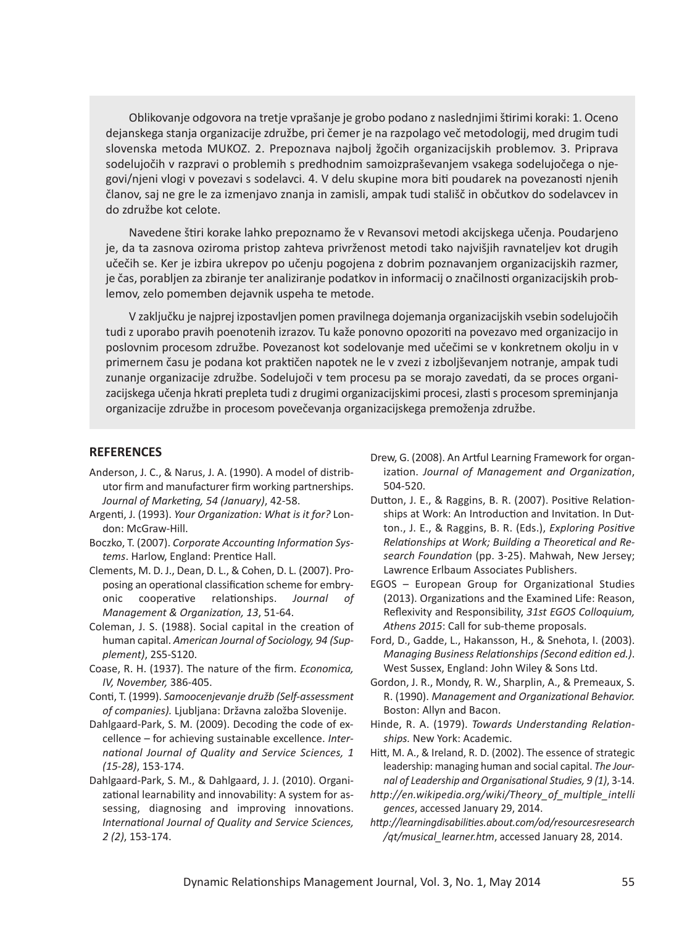Oblikovanje odgovora na tretje vprašanje je grobo podano z naslednjimištirimi koraki: 1. Oceno dejanskega stanja organizacije združbe, pri čemer je na razpolago več metodologij, med drugim tudi slovenska metoda MUKOZ. 2. Prepoznava najbolj žgočih organizacijskih problemov. 3. Priprava sodelujočih v razpravi o problemih s predhodnim samoizpraševanjem vsakega sodelujočega o njegovi/njeni vlogi v povezavi s sodelavci. 4. V delu skupine mora biti poudarek na povezanosti njenih članov, saj ne gre le za izmenjavo znanja in zamisli, ampak tudi stališč in občutkov do sodelavcev in do združbe kot celote.

Navedene štiri korake lahko prepoznamo že v Revansovi metodi akcijskega učenja. Poudarjeno je, da ta zasnova oziroma pristop zahteva privrženost metodi tako najvišjih ravnateljev kot drugih učečih se. Ker je izbira ukrepov po učenju pogojena z dobrim poznavanjem organizacijskih razmer, je čas, porabljen za zbiranje ter analiziranje podatkov in informacij o značilnosti organizacijskih problemov, zelo pomemben dejavnik uspeha te metode.

V zaključku je najprej izpostavljen pomen pravilnega dojemanja organizacijskih vsebin sodelujočih tudi z uporabo pravih poenotenih izrazov. Tu kaže ponovno opozoriti na povezavo med organizacijo in poslovnim procesom združbe. Povezanost kot sodelovanje med učečimi se v konkretnem okolju in v primernem času je podana kot praktičen napotek ne le v zvezi z izboljševanjem notranje, ampak tudi zunanje organizacije združbe. Sodelujoči v tem procesu pa se morajo zavedati, da se proces organizacijskega učenja hkrati prepleta tudi z drugimi organizacijskimi procesi, zlasti s procesom spreminjanja organizacije združbe in procesom povečevanja organizacijskega premoženja združbe.

#### **REFERENCES**

- Anderson, J. C., & Narus, J. A. (1990). A model of distributor firm and manufacturer firm working partnerships. *Journal of Marketing, 54 (January)*, 42-58.
- Argenti, J. (1993). *Your Organization: What is it for?* London: McGraw-Hill.
- Boczko, T. (2007). *Corporate Accounting Information Systems*. Harlow, England: Prentice Hall.
- Clements, M. D. J., Dean, D. L., & Cohen, D. L. (2007). Proposing an operational classification scheme for embryonic cooperative relationships. *Journal of Management & Organization, 13*, 51-64.
- Coleman, J. S. (1988). Social capital in the creation of human capital. *American Journal of Sociology, 94 (Supplement)*, 2S5-S120.
- Coase, R. H. (1937). The nature of the firm. *Economica, IV, November,* 386-405.
- Conti, T. (1999). *Samoocenjevanje družb (Self-assessment of companies).* Ljubljana: Državna založba Slovenije.
- Dahlgaard-Park, S. M. (2009). Decoding the code of excellence – for achieving sustainable excellence. *International Journal of Quality and Service Sciences, 1 (15-28)*, 153-174.
- Dahlgaard-Park, S. M., & Dahlgaard, J. J. (2010). Organizational learnability and innovability: A system for assessing, diagnosing and improving innovations. *International Journal of Quality and Service Sciences, 2 (2)*, 153-174.
- Drew, G. (2008). An Artful Learning Framework for organization. *Journal of Management and Organization*, 504-520.
- Dutton, J. E., & Raggins, B. R. (2007). Positive Relationships at Work: An Introduction and Invitation. In Dutton., J. E., & Raggins, B. R. (Eds.), *Exploring Positive Relationships at Work; Building a Theoretical and Research Foundation* (pp. 3-25). Mahwah, New Jersey; Lawrence Erlbaum Associates Publishers.
- EGOS European Group for Organizational Studies (2013). Organizations and the Examined Life: Reason, Reflexivity and Responsibility, *31st EGOS Colloquium, Athens 2015*: Call for sub-theme proposals.
- Ford, D., Gadde, L., Hakansson, H., & Snehota, I. (2003). *Managing Business Relationships(Second edition ed.)*. West Sussex, England: John Wiley & Sons Ltd.
- Gordon, J. R., Mondy, R. W., Sharplin, A., & Premeaux, S. R. (1990). *Management and Organizational Behavior.* Boston: Allyn and Bacon.
- Hinde, R. A. (1979). *Towards Understanding Relationships.* New York: Academic.
- Hitt, M. A., & Ireland, R. D. (2002). The essence of strategic leadership: managing human and social capital. *The Journal of Leadership and Organisational Studies, 9 (1)*, 3-14.
- *http://en.wikipedia.org/wiki/Theory\_of\_multiple\_intelli gences*, accessed January 29, 2014.
- *http://learningdisabilities.about.com/od/resourcesresearch /qt/musical\_learner.htm*, accessed January 28, 2014.